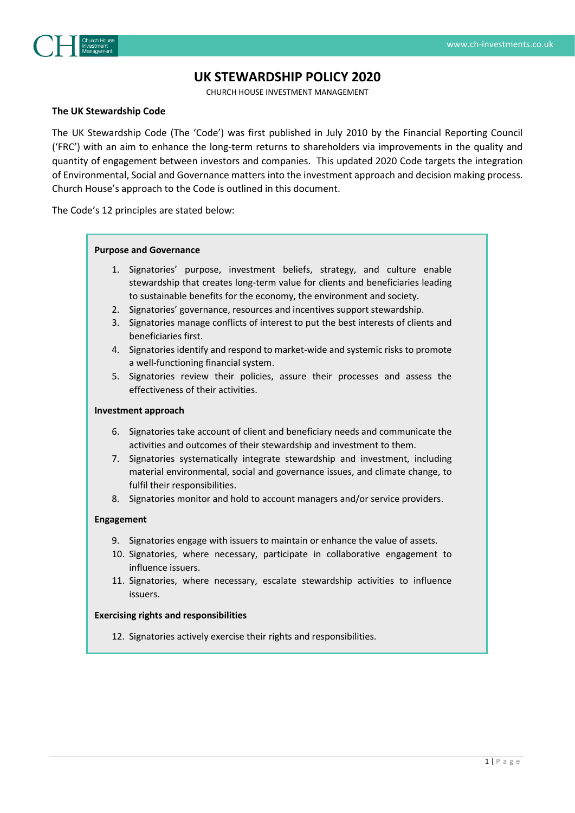

# **UK STEWARDSHIP POLICY 2020**

CHURCH HOUSE INVESTMENT MANAGEMENT

#### **The UK Stewardship Code**

The UK Stewardship Code (The 'Code') was first published in July 2010 by the Financial Reporting Council ('FRC') with an aim to enhance the long-term returns to shareholders via improvements in the quality and quantity of engagement between investors and companies. This updated 2020 Code targets the integration of Environmental, Social and Governance matters into the investment approach and decision making process. Church House's approach to the Code is outlined in this document.

The Code's 12 principles are stated below:

#### **Purpose and Governance**

- 1. Signatories' purpose, investment beliefs, strategy, and culture enable stewardship that creates long-term value for clients and beneficiaries leading to sustainable benefits for the economy, the environment and society.
- 2. Signatories' governance, resources and incentives support stewardship.
- 3. Signatories manage conflicts of interest to put the best interests of clients and beneficiaries first.
- 4. Signatories identify and respond to market-wide and systemic risks to promote a well-functioning financial system.
- 5. Signatories review their policies, assure their processes and assess the effectiveness of their activities.

#### **Investment approach**

- 6. Signatories take account of client and beneficiary needs and communicate the activities and outcomes of their stewardship and investment to them.
- 7. Signatories systematically integrate stewardship and investment, including material environmental, social and governance issues, and climate change, to fulfil their responsibilities.
- 8. Signatories monitor and hold to account managers and/or service providers.

#### **Engagement**

- 9. Signatories engage with issuers to maintain or enhance the value of assets.
- 10. Signatories, where necessary, participate in collaborative engagement to influence issuers.
- 11. Signatories, where necessary, escalate stewardship activities to influence issuers.

#### **Exercising rights and responsibilities**

12. Signatories actively exercise their rights and responsibilities.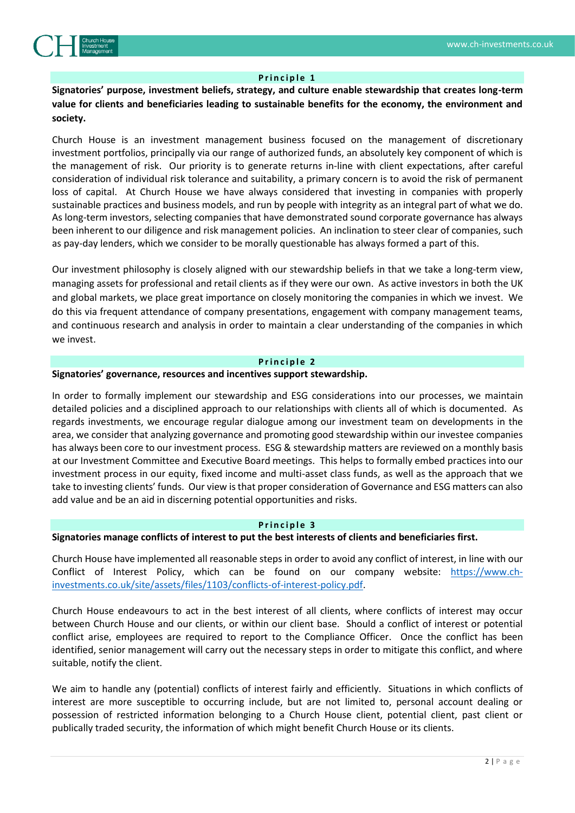

### **Principle 1**

**Signatories' purpose, investment beliefs, strategy, and culture enable stewardship that creates long-term value for clients and beneficiaries leading to sustainable benefits for the economy, the environment and society.**

Church House is an investment management business focused on the management of discretionary investment portfolios, principally via our range of authorized funds, an absolutely key component of which is the management of risk. Our priority is to generate returns in-line with client expectations, after careful consideration of individual risk tolerance and suitability, a primary concern is to avoid the risk of permanent loss of capital. At Church House we have always considered that investing in companies with properly sustainable practices and business models, and run by people with integrity as an integral part of what we do. As long-term investors, selecting companies that have demonstrated sound corporate governance has always been inherent to our diligence and risk management policies. An inclination to steer clear of companies, such as pay-day lenders, which we consider to be morally questionable has always formed a part of this.

Our investment philosophy is closely aligned with our stewardship beliefs in that we take a long-term view, managing assets for professional and retail clients as if they were our own. As active investors in both the UK and global markets, we place great importance on closely monitoring the companies in which we invest. We do this via frequent attendance of company presentations, engagement with company management teams, and continuous research and analysis in order to maintain a clear understanding of the companies in which we invest.

#### **Principle 2**

### **Signatories' governance, resources and incentives support stewardship.**

In order to formally implement our stewardship and ESG considerations into our processes, we maintain detailed policies and a disciplined approach to our relationships with clients all of which is documented. As regards investments, we encourage regular dialogue among our investment team on developments in the area, we consider that analyzing governance and promoting good stewardship within our investee companies has always been core to our investment process. ESG & stewardship matters are reviewed on a monthly basis at our Investment Committee and Executive Board meetings. This helps to formally embed practices into our investment process in our equity, fixed income and multi-asset class funds, as well as the approach that we take to investing clients' funds. Our view is that proper consideration of Governance and ESG matters can also add value and be an aid in discerning potential opportunities and risks.

#### **Principle 3**

# **Signatories manage conflicts of interest to put the best interests of clients and beneficiaries first.**

Church House have implemented all reasonable steps in order to avoid any conflict of interest, in line with our Conflict of Interest Policy, which can be found on our company website: [https://www.ch](https://www.ch-investments.co.uk/site/assets/files/1103/conflicts-of-interest-policy.pdf)[investments.co.uk/site/assets/files/1103/conflicts-of-interest-policy.pdf.](https://www.ch-investments.co.uk/site/assets/files/1103/conflicts-of-interest-policy.pdf)

Church House endeavours to act in the best interest of all clients, where conflicts of interest may occur between Church House and our clients, or within our client base. Should a conflict of interest or potential conflict arise, employees are required to report to the Compliance Officer. Once the conflict has been identified, senior management will carry out the necessary steps in order to mitigate this conflict, and where suitable, notify the client.

We aim to handle any (potential) conflicts of interest fairly and efficiently. Situations in which conflicts of interest are more susceptible to occurring include, but are not limited to, personal account dealing or possession of restricted information belonging to a Church House client, potential client, past client or publically traded security, the information of which might benefit Church House or its clients.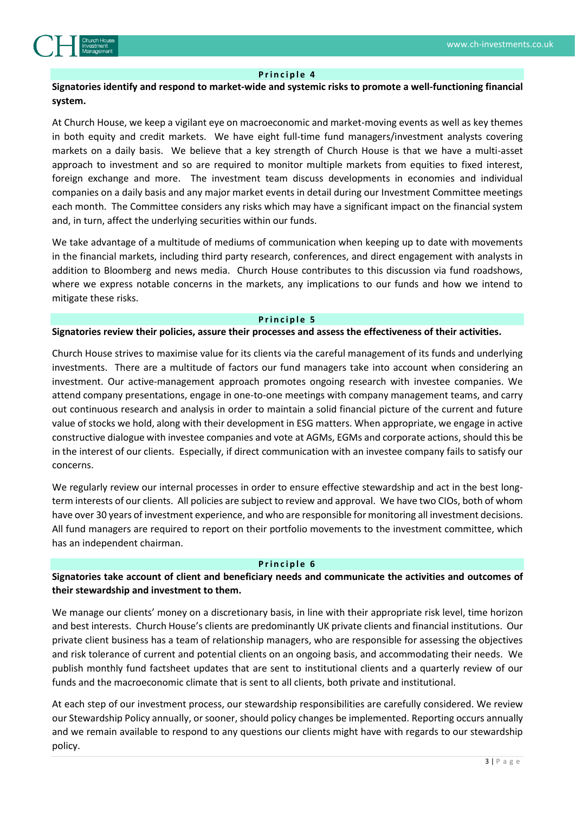

### **P r i n c i p l e 4**

# **Signatories identify and respond to market-wide and systemic risks to promote a well-functioning financial system.**

At Church House, we keep a vigilant eye on macroeconomic and market-moving events as well as key themes in both equity and credit markets. We have eight full-time fund managers/investment analysts covering markets on a daily basis. We believe that a key strength of Church House is that we have a multi-asset approach to investment and so are required to monitor multiple markets from equities to fixed interest, foreign exchange and more. The investment team discuss developments in economies and individual companies on a daily basis and any major market events in detail during our Investment Committee meetings each month. The Committee considers any risks which may have a significant impact on the financial system and, in turn, affect the underlying securities within our funds.

We take advantage of a multitude of mediums of communication when keeping up to date with movements in the financial markets, including third party research, conferences, and direct engagement with analysts in addition to Bloomberg and news media. Church House contributes to this discussion via fund roadshows, where we express notable concerns in the markets, any implications to our funds and how we intend to mitigate these risks.

#### **Principle 5**

#### **Signatories review their policies, assure their processes and assess the effectiveness of their activities.**

Church House strives to maximise value for its clients via the careful management of its funds and underlying investments. There are a multitude of factors our fund managers take into account when considering an investment. Our active-management approach promotes ongoing research with investee companies. We attend company presentations, engage in one-to-one meetings with company management teams, and carry out continuous research and analysis in order to maintain a solid financial picture of the current and future value of stocks we hold, along with their development in ESG matters. When appropriate, we engage in active constructive dialogue with investee companies and vote at AGMs, EGMs and corporate actions, should this be in the interest of our clients. Especially, if direct communication with an investee company fails to satisfy our concerns.

We regularly review our internal processes in order to ensure effective stewardship and act in the best longterm interests of our clients. All policies are subject to review and approval. We have two CIOs, both of whom have over 30 years of investment experience, and who are responsible for monitoring all investment decisions. All fund managers are required to report on their portfolio movements to the investment committee, which has an independent chairman.

#### **P r i n c i p l e 6**

**Signatories take account of client and beneficiary needs and communicate the activities and outcomes of their stewardship and investment to them.**

We manage our clients' money on a discretionary basis, in line with their appropriate risk level, time horizon and best interests. Church House's clients are predominantly UK private clients and financial institutions. Our private client business has a team of relationship managers, who are responsible for assessing the objectives and risk tolerance of current and potential clients on an ongoing basis, and accommodating their needs. We publish monthly fund factsheet updates that are sent to institutional clients and a quarterly review of our funds and the macroeconomic climate that is sent to all clients, both private and institutional.

At each step of our investment process, our stewardship responsibilities are carefully considered. We review our Stewardship Policy annually, or sooner, should policy changes be implemented. Reporting occurs annually and we remain available to respond to any questions our clients might have with regards to our stewardship policy.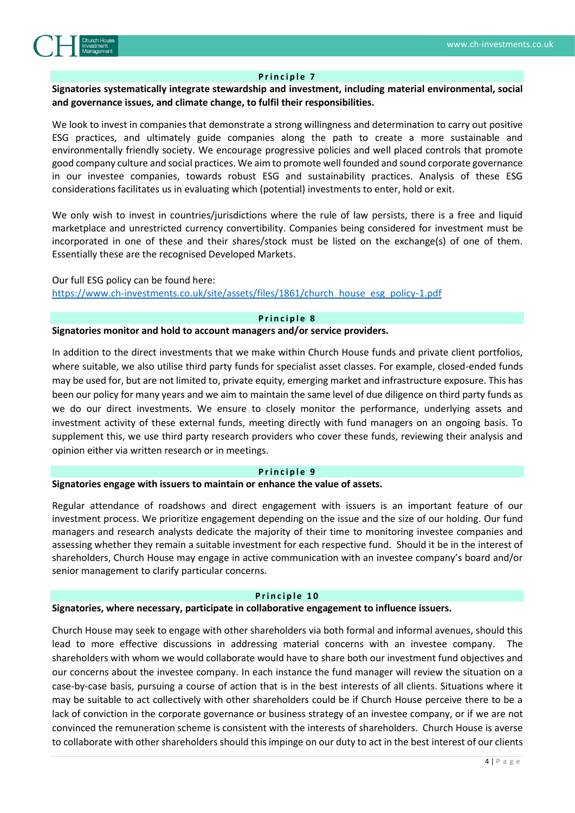

#### **Principle 7**

# **Signatories systematically integrate stewardship and investment, including material environmental, social and governance issues, and climate change, to fulfil their responsibilities.**

We look to invest in companies that demonstrate a strong willingness and determination to carry out positive ESG practices, and ultimately guide companies along the path to create a more sustainable and environmentally friendly society. We encourage progressive policies and well placed controls that promote good company culture and social practices. We aim to promote well founded and sound corporate governance in our investee companies, towards robust ESG and sustainability practices. Analysis of these ESG considerations facilitates us in evaluating which (potential) investments to enter, hold or exit.

We only wish to invest in countries/jurisdictions where the rule of law persists, there is a free and liquid marketplace and unrestricted currency convertibility. Companies being considered for investment must be incorporated in one of these and their shares/stock must be listed on the exchange(s) of one of them. Essentially these are the recognised Developed Markets.

# Our full ESG policy can be found here: [https://www.ch-investments.co.uk/site/assets/files/1861/church\\_house\\_esg\\_policy-1.pdf](https://www.ch-investments.co.uk/site/assets/files/1861/church_house_esg_policy-1.pdf)

# **P r i n c i p l e 8**

#### **Signatories monitor and hold to account managers and/or service providers.**

In addition to the direct investments that we make within Church House funds and private client portfolios, where suitable, we also utilise third party funds for specialist asset classes. For example, closed-ended funds may be used for, but are not limited to, private equity, emerging market and infrastructure exposure. This has been our policy for many years and we aim to maintain the same level of due diligence on third party funds as we do our direct investments. We ensure to closely monitor the performance, underlying assets and investment activity of these external funds, meeting directly with fund managers on an ongoing basis. To supplement this, we use third party research providers who cover these funds, reviewing their analysis and opinion either via written research or in meetings.

#### **P r i n c i p l e 9**

#### **Signatories engage with issuers to maintain or enhance the value of assets.**

Regular attendance of roadshows and direct engagement with issuers is an important feature of our investment process. We prioritize engagement depending on the issue and the size of our holding. Our fund managers and research analysts dedicate the majority of their time to monitoring investee companies and assessing whether they remain a suitable investment for each respective fund. Should it be in the interest of shareholders, Church House may engage in active communication with an investee company's board and/or senior management to clarify particular concerns..

#### **Principle 10**

### **Signatories, where necessary, participate in collaborative engagement to influence issuers.**

Church House may seek to engage with other shareholders via both formal and informal avenues, should this lead to more effective discussions in addressing material concerns with an investee company. The shareholders with whom we would collaborate would have to share both our investment fund objectives and our concerns about the investee company. In each instance the fund manager will review the situation on a case-by-case basis, pursuing a course of action that is in the best interests of all clients. Situations where it may be suitable to act collectively with other shareholders could be if Church House perceive there to be a lack of conviction in the corporate governance or business strategy of an investee company, or if we are not convinced the remuneration scheme is consistent with the interests of shareholders. Church House is averse to collaborate with other shareholders should this impinge on our duty to act in the best interest of our clients